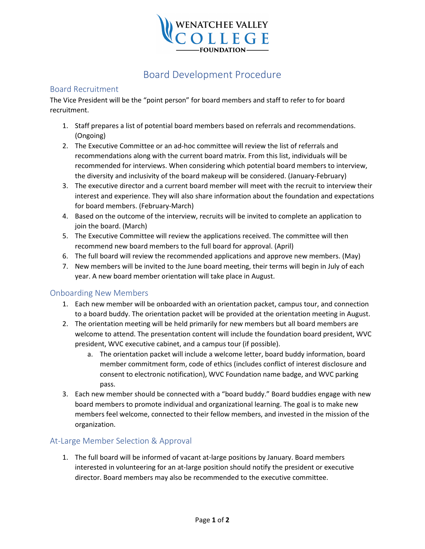

# Board Development Procedure

#### Board Recruitment

The Vice President will be the "point person" for board members and staff to refer to for board recruitment.

- 1. Staff prepares a list of potential board members based on referrals and recommendations. (Ongoing)
- 2. The Executive Committee or an ad-hoc committee will review the list of referrals and recommendations along with the current board matrix. From this list, individuals will be recommended for interviews. When considering which potential board members to interview, the diversity and inclusivity of the board makeup will be considered. (January-February)
- 3. The executive director and a current board member will meet with the recruit to interview their interest and experience. They will also share information about the foundation and expectations for board members. (February-March)
- 4. Based on the outcome of the interview, recruits will be invited to complete an application to join the board. (March)
- 5. The Executive Committee will review the applications received. The committee will then recommend new board members to the full board for approval. (April)
- 6. The full board will review the recommended applications and approve new members. (May)
- 7. New members will be invited to the June board meeting, their terms will begin in July of each year. A new board member orientation will take place in August.

#### Onboarding New Members

- 1. Each new member will be onboarded with an orientation packet, campus tour, and connection to a board buddy. The orientation packet will be provided at the orientation meeting in August.
- 2. The orientation meeting will be held primarily for new members but all board members are welcome to attend. The presentation content will include the foundation board president, WVC president, WVC executive cabinet, and a campus tour (if possible).
	- a. The orientation packet will include a welcome letter, board buddy information, board member commitment form, code of ethics (includes conflict of interest disclosure and consent to electronic notification), WVC Foundation name badge, and WVC parking pass.
- 3. Each new member should be connected with a "board buddy." Board buddies engage with new board members to promote individual and organizational learning. The goal is to make new members feel welcome, connected to their fellow members, and invested in the mission of the organization.

#### At-Large Member Selection & Approval

1. The full board will be informed of vacant at-large positions by January. Board members interested in volunteering for an at-large position should notify the president or executive director. Board members may also be recommended to the executive committee.